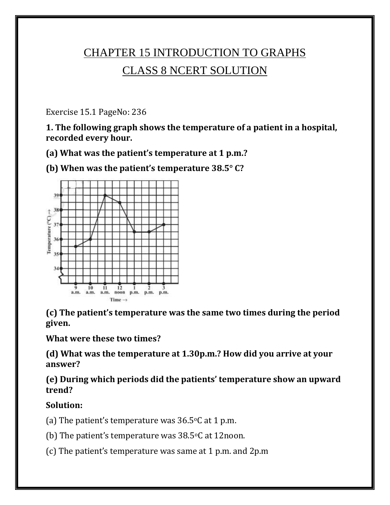# CHAPTER 15 INTRODUCTION TO GRAPHS CLASS 8 NCERT SOLUTION

Exercise 15.1 PageNo: 236

**1. The following graph shows the temperature of a patient in a hospital, recorded every hour.**

**(a) What was the patient's temperature at 1 p.m.?**

**(b) When was the patient's temperature 38.5° C?**



**(c) The patient's temperature was the same two times during the period given.**

**What were these two times?**

**(d) What was the temperature at 1.30p.m.? How did you arrive at your answer?**

**(e) During which periods did the patients' temperature show an upward trend?**

**Solution:**

(a) The patient's temperature was  $36.5$ °C at 1 p.m.

(b) The patient's temperature was  $38.5^{\circ}$ C at 12noon.

(c) The patient's temperature was same at 1 p.m. and 2p.m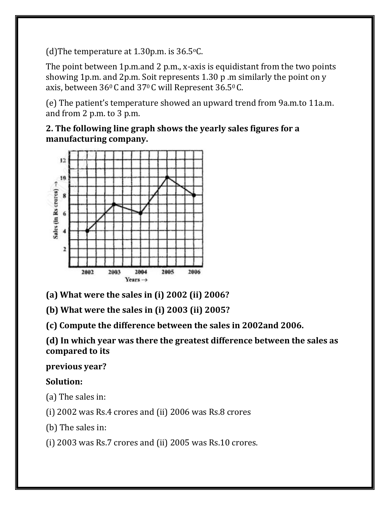(d) The temperature at  $1.30$  p.m. is  $36.5$  °C.

The point between 1p.m.and 2 p.m., x-axis is equidistant from the two points showing 1p.m. and 2p.m. Soit represents 1.30 p .m similarly the point on y axis, between  $36^{\circ}$ C and  $37^{\circ}$ C will Represent  $36.5^{\circ}$ C.

(e) The patient's temperature showed an upward trend from 9a.m.to 11a.m. and from 2 p.m. to 3 p.m.

**2. The following line graph shows the yearly sales figures for a manufacturing company.**



**(a) What were the sales in (i) 2002 (ii) 2006?**

**(b) What were the sales in (i) 2003 (ii) 2005?**

**(c) Compute the difference between the sales in 2002and 2006.**

**(d) In which year was there the greatest difference between the sales as compared to its**

**previous year?**

## **Solution:**

(a) The sales in:

(i) 2002 was Rs.4 crores and (ii) 2006 was Rs.8 crores

(b) The sales in:

(i) 2003 was Rs.7 crores and (ii) 2005 was Rs.10 crores.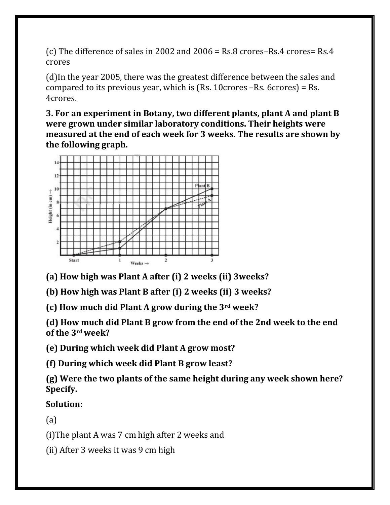(c) The difference of sales in 2002 and 2006 = Rs.8 crores–Rs.4 crores= Rs.4 crores

(d)In the year 2005, there was the greatest difference between the sales and compared to its previous year, which is (Rs. 10crores –Rs. 6crores) = Rs. 4crores.

**3. For an experiment in Botany, two different plants, plant A and plant B were grown under similar laboratory conditions. Their heights were measured at the end of each week for 3 weeks. The results are shown by the following graph.**



**(a) How high was Plant A after (i) 2 weeks (ii) 3weeks?**

**(b) How high was Plant B after (i) 2 weeks (ii) 3 weeks?**

**(c) How much did Plant A grow during the 3rd week?**

**(d) How much did Plant B grow from the end of the 2nd week to the end of the 3rdweek?**

**(e) During which week did Plant A grow most?**

**(f) During which week did Plant B grow least?**

**(g) Were the two plants of the same height during any week shown here? Specify.**

**Solution:**

(a)

(i)The plant A was 7 cm high after 2 weeks and

(ii) After 3 weeks it was 9 cm high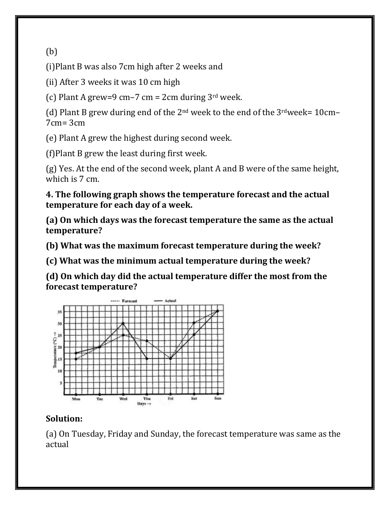(b)

(i)Plant B was also 7cm high after 2 weeks and

(ii) After 3 weeks it was 10 cm high

(c) Plant A grew=9 cm–7 cm = 2cm during  $3<sup>rd</sup>$  week.

(d) Plant B grew during end of the  $2<sup>nd</sup>$  week to the end of the  $3<sup>rd</sup>$ week= 10cm– 7cm= 3cm

(e) Plant A grew the highest during second week.

(f)Plant B grew the least during first week.

(g) Yes. At the end of the second week, plant A and B were of the same height, which is 7 cm.

**4. The following graph shows the temperature forecast and the actual temperature for each day of a week.**

**(a) On which days was the forecast temperature the same as the actual temperature?**

**(b) What was the maximum forecast temperature during the week?**

**(c) What was the minimum actual temperature during the week?**

**(d) On which day did the actual temperature differ the most from the forecast temperature?**



## **Solution:**

(a) On Tuesday, Friday and Sunday, the forecast temperature was same as the actual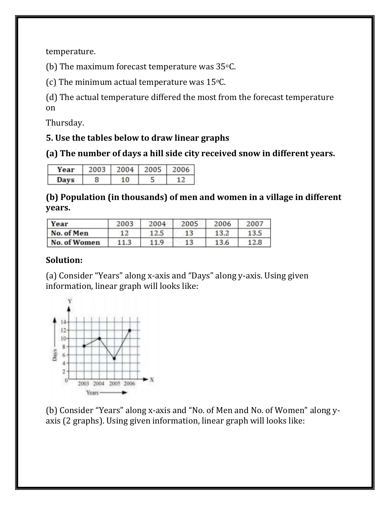temperature.

(b) The maximum forecast temperature was  $35^{\circ}$ C.

(c) The minimum actual temperature was  $15^{\circ}$ C.

(d) The actual temperature differed the most from the forecast temperature on

Thursday.

#### **5. Use the tables below to draw linear graphs**

**(a) The number of days a hill side city received snow in different years.**

| Year | zoc | 2004 | 2005 | 2006 |
|------|-----|------|------|------|
| Davs |     |      |      |      |

**(b) Population (in thousands) of men and women in a village in different years.**

| Year         | 2003 | 2004 | 2005 | 2006 | 2007 |
|--------------|------|------|------|------|------|
| No. of Men   | 12   | 12.5 |      | 13.2 |      |
| No. of Women |      | 119  | 13   | 13.6 |      |

#### **Solution:**

(a) Consider "Years" along x-axis and "Days" along y-axis. Using given information, linear graph will looks like:



(b) Consider "Years" along x-axis and "No. of Men and No. of Women" along yaxis (2 graphs). Using given information, linear graph will looks like: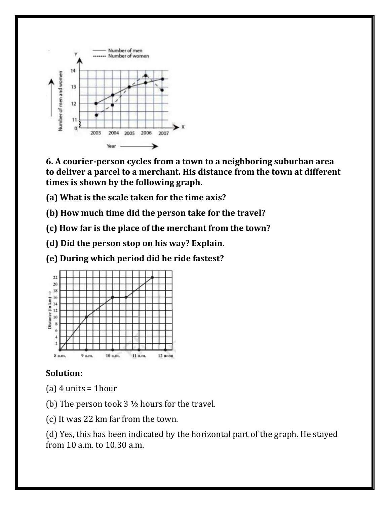

**6. A courier-person cycles from a town to a neighboring suburban area to deliver a parcel to a merchant. His distance from the town at different times is shown by the following graph.**

**(a) What is the scale taken for the time axis?**

**(b) How much time did the person take for the travel?**

**(c) How far is the place of the merchant from the town?**

**(d) Did the person stop on his way? Explain.**

**(e) During which period did he ride fastest?**



#### **Solution:**

- (a)  $4$  units = 1hour
- (b) The person took  $3 \frac{1}{2}$  hours for the travel.
- (c) It was 22 km far from the town.

(d) Yes, this has been indicated by the horizontal part of the graph. He stayed from 10 a.m. to 10.30 a.m.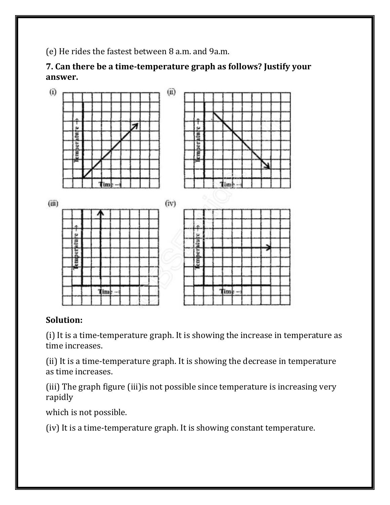(e) He rides the fastest between 8 a.m. and 9a.m.

**7. Can there be a time-temperature graph as follows? Justify your answer.**



#### **Solution:**

(i) It is a time-temperature graph. It is showing the increase in temperature as time increases.

(ii) It is a time-temperature graph. It is showing the decrease in temperature as time increases.

(iii) The graph figure (iii)is not possible since temperature is increasing very rapidly

which is not possible.

(iv) It is a time-temperature graph. It is showing constant temperature.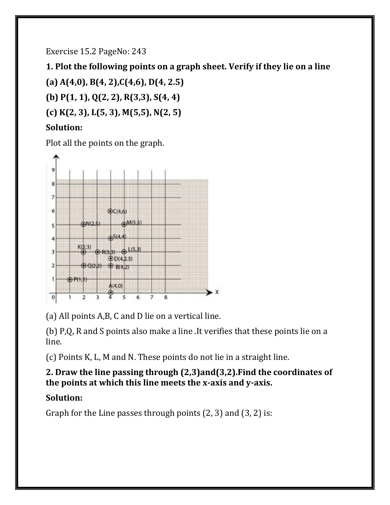Exercise 15.2 PageNo: 243

**1. Plot the following points on a graph sheet. Verify if they lie on a line**

**(a) A(4,0), B(4, 2),C(4,6), D(4, 2.5) (b) P(1, 1), Q(2, 2), R(3,3), S(4, 4) (c) K(2, 3), L(5, 3), M(5,5), N(2, 5)**

## **Solution:**

Plot all the points on the graph.



(a) All points A,B, C and D lie on a vertical line.

(b) P,Q, R and S points also make a line .It verifies that these points lie on a line.

(c) Points K, L, M and N. These points do not lie in a straight line.

### **2. Draw the line passing through (2,3)and(3,2).Find the coordinates of the points at which this line meets the x-axis and y-axis.**

## **Solution:**

Graph for the Line passes through points  $(2, 3)$  and  $(3, 2)$  is: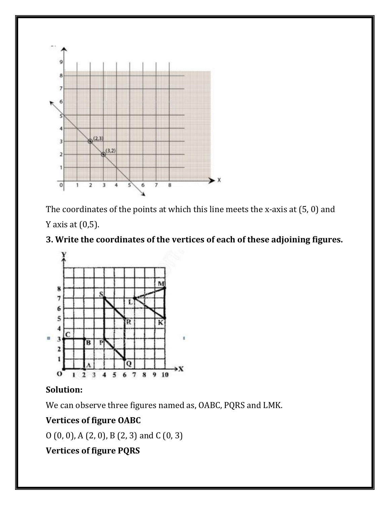

The coordinates of the points at which this line meets the x-axis at (5, 0) and Y axis at  $(0,5)$ .

## **3. Write the coordinates of the vertices of each of these adjoining figures.**



#### **Solution:**

We can observe three figures named as, OABC, PQRS and LMK.

## **Vertices of figure OABC**

O (0, 0), A (2, 0), B (2, 3) and C (0, 3)

## **Vertices of figure PQRS**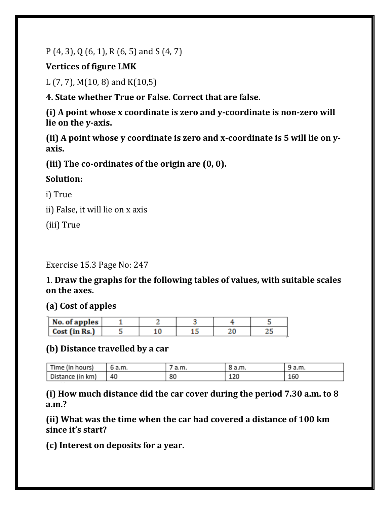P (4, 3), Q (6, 1), R (6, 5) and S (4, 7)

**Vertices of figure LMK**

L (7, 7), M(10, 8) and K(10,5)

**4. State whether True or False. Correct that are false.**

**(i) A point whose x coordinate is zero and y-coordinate is non-zero will lie on the y-axis.**

**(ii) A point whose y coordinate is zero and x-coordinate is 5 will lie on yaxis.**

**(iii) The co-ordinates of the origin are (0, 0).**

## **Solution:**

i) True

ii) False, it will lie on x axis

(iii) True

Exercise 15.3 Page No: 247

1. **Draw the graphs for the following tables of values, with suitable scales on the axes.**

## **(a) Cost of apples**

| No. of apples |  |  |  |
|---------------|--|--|--|
| Cost (in Rs.) |  |  |  |

#### **(b) Distance travelled by a car**

| Time (in hours)  | 6 a.m. | a.m. | 8 a.m. | 9 a.m. |
|------------------|--------|------|--------|--------|
| Distance (in km) | 40     | 80   | 120    | 160    |

**(i) How much distance did the car cover during the period 7.30 a.m. to 8 a.m.?**

**(ii) What was the time when the car had covered a distance of 100 km since it's start?**

**(c) Interest on deposits for a year.**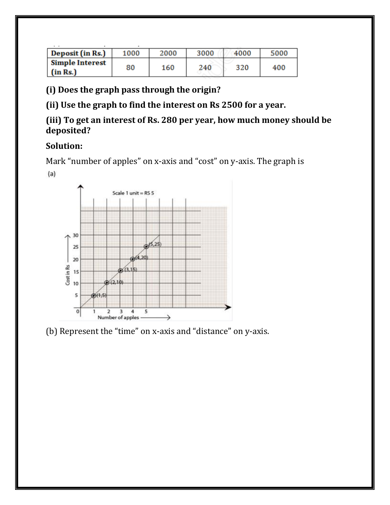| Deposit (in Rs.)                   | 1000 | 2000 | 3000 | 4000 | 5000 |
|------------------------------------|------|------|------|------|------|
| <b>Simple Interest</b><br>(in Rs.) | 80   | 160  | 240  | 320  | 400  |

**(i) Does the graph pass through the origin?**

**(ii) Use the graph to find the interest on Rs 2500 for a year.**

#### **(iii) To get an interest of Rs. 280 per year, how much money should be deposited?**

## **Solution:**

Mark "number of apples" on x-axis and "cost" on y-axis. The graph is

 $(a)$ 



(b) Represent the "time" on x-axis and "distance" on y-axis.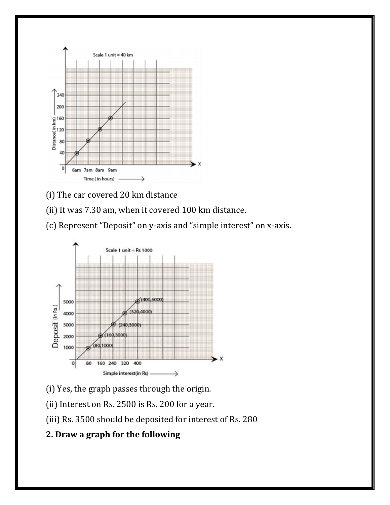

- (i) The car covered 20 km distance
- (ii) It was 7.30 am, when it covered 100 km distance.
- (c) Represent "Deposit" on y-axis and "simple interest" on x-axis.



- (i) Yes, the graph passes through the origin.
- (ii) Interest on Rs. 2500 is Rs. 200 for a year.
- (iii) Rs. 3500 should be deposited for interest of Rs. 280

## **2. Draw a graph for the following**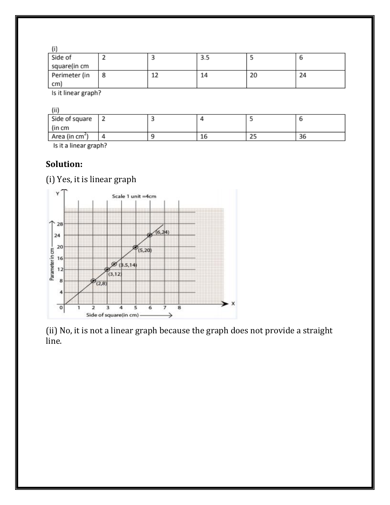| Side of             |   |    | כ.כ |    |    |
|---------------------|---|----|-----|----|----|
| square(in cm        |   |    |     |    |    |
| Perimeter (in       | 8 | 12 | 14  | 20 | 24 |
| $\mathsf{cm}$       |   |    |     |    |    |
| ls it linear granh? |   |    |     |    |    |

Is it linear graph?

| $\sim$ |  | <b>College</b> |  |
|--------|--|----------------|--|
|        |  |                |  |
|        |  |                |  |

| ,,,,                       |      |    |    |    |
|----------------------------|------|----|----|----|
| Side of square             |      |    |    |    |
| (in cm                     |      |    |    |    |
| Area (in cm <sup>2</sup> ) |      | тo | دے | 36 |
|                            | $ -$ |    |    |    |

Is it a linear graph?

### **Solution:**

(i) Yes, it is linear graph



(ii) No, it is not a linear graph because the graph does not provide a straight line.